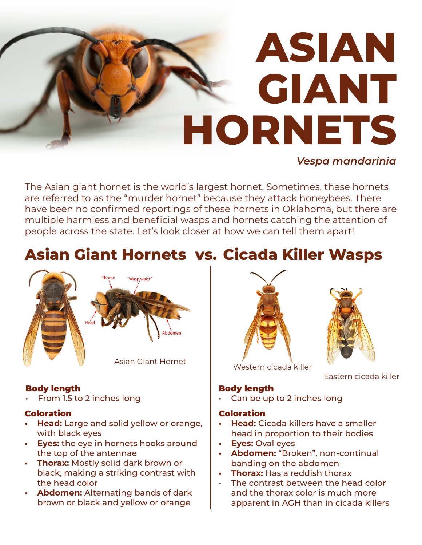## **ASIAN GIANT HORNETS**

#### *Vespa mandarinia*

The Asian giant hornet is the world's largest hornet. Sometimes, these hornets are referred to as the "murder hornet" because they attack honeybees. There have been no confirmed reportings of these hornets in Oklahoma, but there are multiple harmless and beneficial wasps and hornets catching the attention of people across the state. Let's look closer at how we can tell them apart!

### **Asian Giant Hornets vs. Cicada Killer Wasps**

# Wasp waist<sup>\*</sup> Asian Giant Hornet

#### Body length

• From 1.5 to 2 inches long

#### **Coloration**

- **Head:** Large and solid yellow or orange, with black eyes
- **Eyes:** the eye in hornets hooks around the top of the antennae
- **Thorax:** Mostly solid dark brown or black, making a striking contrast with the head color
- **Abdomen:** Alternating bands of dark brown or black and yellow or orange





Western cicada killer

Eastern cicada killer

#### Body length

Can be up to 2 inches long

#### Coloration

- **Head:** Cicada killers have a smaller head in proportion to their bodies
- **Eyes:** Oval eyes
- **Abdomen:** "Broken", non-continual banding on the abdomen
- **Thorax:** Has a reddish thorax
- The contrast between the head color and the thorax color is much more apparent in AGH than in cicada killers